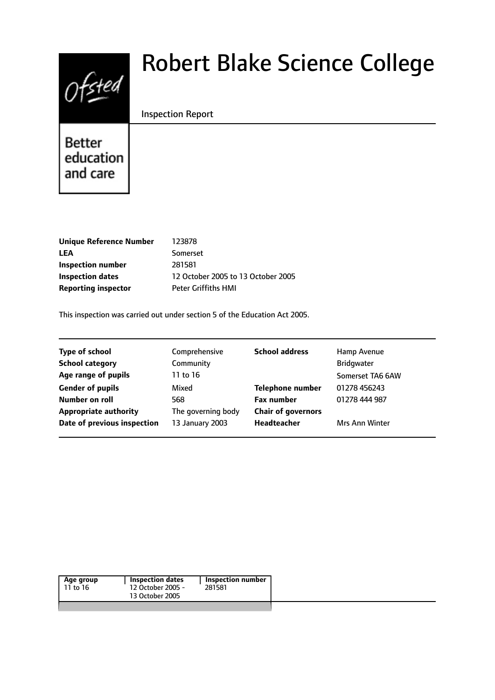

# Robert Blake Science College

## Inspection Report

Better education and care

| <b>Unique Reference Number</b> | 123878                             |
|--------------------------------|------------------------------------|
| LEA                            | Somerset                           |
| Inspection number              | 281581                             |
| Inspection dates               | 12 October 2005 to 13 October 2005 |
| <b>Reporting inspector</b>     | <b>Peter Griffiths HMI</b>         |
|                                |                                    |

This inspection was carried out under section 5 of the Education Act 2005.

| <b>Type of school</b>        | Comprehensive      | <b>School address</b>     | Hamp Avenue           |
|------------------------------|--------------------|---------------------------|-----------------------|
| <b>School category</b>       | Community          |                           | <b>Bridgwater</b>     |
| Age range of pupils          | 11 to 16           |                           | Somerset TA6 6AW      |
| <b>Gender of pupils</b>      | Mixed              | <b>Telephone number</b>   | 01278 456243          |
| <b>Number on roll</b>        | 568                | <b>Fax number</b>         | 01278 444 987         |
| <b>Appropriate authority</b> | The governing body | <b>Chair of governors</b> |                       |
| Date of previous inspection  | 13 January 2003    | Headteacher               | <b>Mrs Ann Winter</b> |
|                              |                    |                           |                       |

| Age group | <b>Inspection dates</b> | Inspection number |
|-----------|-------------------------|-------------------|
| 11 to 16  | 12 October 2005 -       | 281581            |
|           | 13 October 2005         |                   |
|           |                         |                   |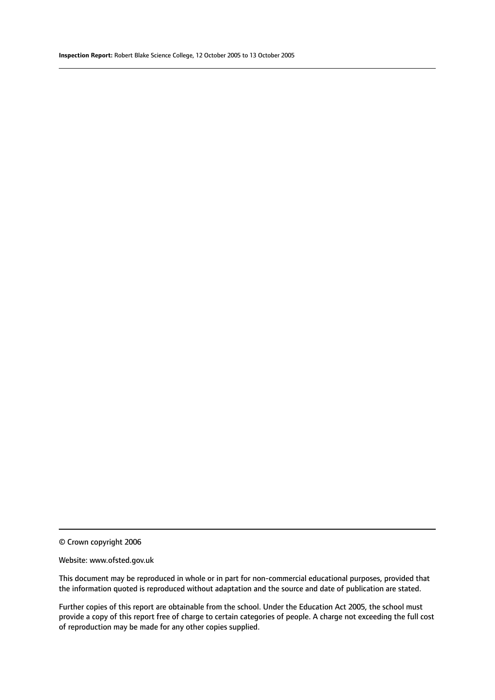© Crown copyright 2006

#### Website: www.ofsted.gov.uk

This document may be reproduced in whole or in part for non-commercial educational purposes, provided that the information quoted is reproduced without adaptation and the source and date of publication are stated.

Further copies of this report are obtainable from the school. Under the Education Act 2005, the school must provide a copy of this report free of charge to certain categories of people. A charge not exceeding the full cost of reproduction may be made for any other copies supplied.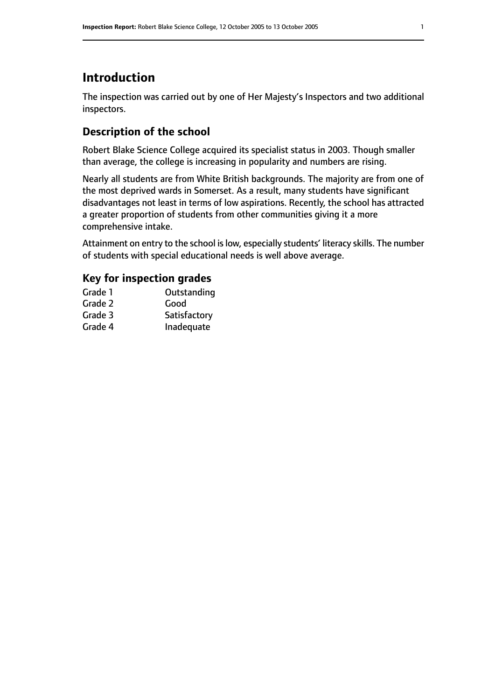# **Introduction**

The inspection was carried out by one of Her Majesty's Inspectors and two additional inspectors.

# **Description of the school**

Robert Blake Science College acquired its specialist status in 2003. Though smaller than average, the college is increasing in popularity and numbers are rising.

Nearly all students are from White British backgrounds. The majority are from one of the most deprived wards in Somerset. As a result, many students have significant disadvantages not least in terms of low aspirations. Recently, the school has attracted a greater proportion of students from other communities giving it a more comprehensive intake.

Attainment on entry to the school is low, especially students' literacy skills. The number of students with special educational needs is well above average.

# **Key for inspection grades**

| Outstanding  |
|--------------|
| Good         |
| Satisfactory |
| Inadequate   |
|              |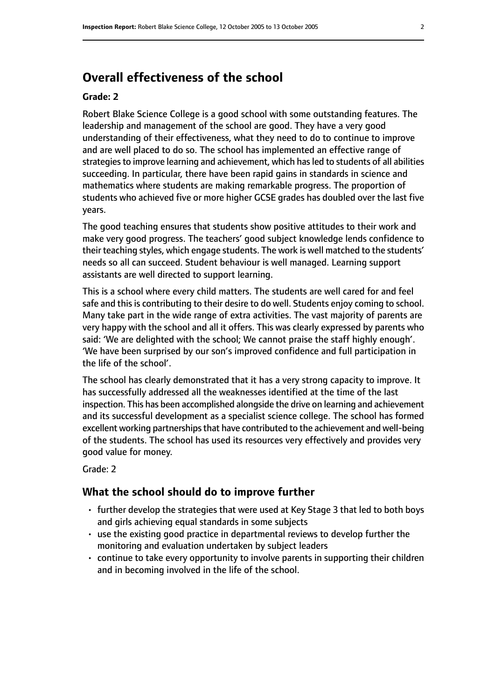# **Overall effectiveness of the school**

#### **Grade: 2**

Robert Blake Science College is a good school with some outstanding features. The leadership and management of the school are good. They have a very good understanding of their effectiveness, what they need to do to continue to improve and are well placed to do so. The school has implemented an effective range of strategies to improve learning and achievement, which has led to students of all abilities succeeding. In particular, there have been rapid gains in standards in science and mathematics where students are making remarkable progress. The proportion of students who achieved five or more higher GCSE grades has doubled over the last five years.

The good teaching ensures that students show positive attitudes to their work and make very good progress. The teachers' good subject knowledge lends confidence to their teaching styles, which engage students. The work is well matched to the students' needs so all can succeed. Student behaviour is well managed. Learning support assistants are well directed to support learning.

This is a school where every child matters. The students are well cared for and feel safe and this is contributing to their desire to do well. Students enjoy coming to school. Many take part in the wide range of extra activities. The vast majority of parents are very happy with the school and all it offers. This was clearly expressed by parents who said: 'We are delighted with the school; We cannot praise the staff highly enough'. 'We have been surprised by our son's improved confidence and full participation in the life of the school'.

The school has clearly demonstrated that it has a very strong capacity to improve. It has successfully addressed all the weaknesses identified at the time of the last inspection. This has been accomplished alongside the drive on learning and achievement and its successful development as a specialist science college. The school has formed excellent working partnerships that have contributed to the achievement and well-being of the students. The school has used its resources very effectively and provides very good value for money.

Grade: 2

## **What the school should do to improve further**

- further develop the strategies that were used at Key Stage 3 that led to both boys and girls achieving equal standards in some subjects
- use the existing good practice in departmental reviews to develop further the monitoring and evaluation undertaken by subject leaders
- continue to take every opportunity to involve parents in supporting their children and in becoming involved in the life of the school.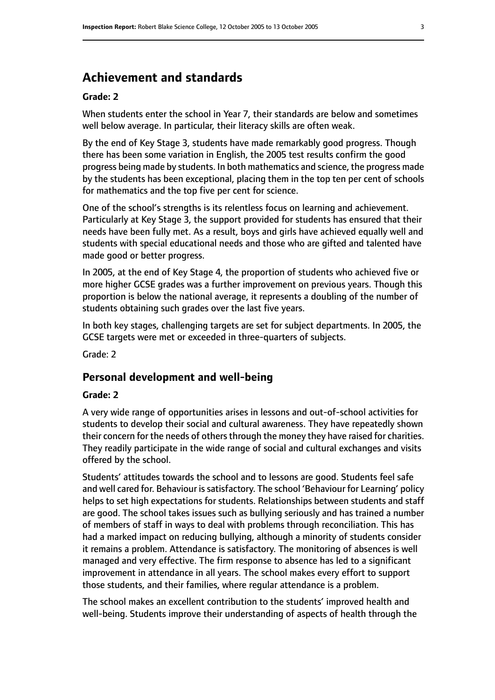# **Achievement and standards**

#### **Grade: 2**

When students enter the school in Year 7, their standards are below and sometimes well below average. In particular, their literacy skills are often weak.

By the end of Key Stage 3, students have made remarkably good progress. Though there has been some variation in English, the 2005 test results confirm the good progress being made by students. In both mathematics and science, the progress made by the students has been exceptional, placing them in the top ten per cent of schools for mathematics and the top five per cent for science.

One of the school's strengths is its relentless focus on learning and achievement. Particularly at Key Stage 3, the support provided for students has ensured that their needs have been fully met. As a result, boys and girls have achieved equally well and students with special educational needs and those who are gifted and talented have made good or better progress.

In 2005, at the end of Key Stage 4, the proportion of students who achieved five or more higher GCSE grades was a further improvement on previous years. Though this proportion is below the national average, it represents a doubling of the number of students obtaining such grades over the last five years.

In both key stages, challenging targets are set for subject departments. In 2005, the GCSE targets were met or exceeded in three-quarters of subjects.

Grade: 2

### **Personal development and well-being**

#### **Grade: 2**

A very wide range of opportunities arises in lessons and out-of-school activities for students to develop their social and cultural awareness. They have repeatedly shown their concern for the needs of others through the money they have raised for charities. They readily participate in the wide range of social and cultural exchanges and visits offered by the school.

Students' attitudes towards the school and to lessons are good. Students feel safe and well cared for. Behaviour is satisfactory. The school 'Behaviour for Learning' policy helps to set high expectations for students. Relationships between students and staff are good. The school takes issues such as bullying seriously and has trained a number of members of staff in ways to deal with problems through reconciliation. This has had a marked impact on reducing bullying, although a minority of students consider it remains a problem. Attendance is satisfactory. The monitoring of absences is well managed and very effective. The firm response to absence has led to a significant improvement in attendance in all years. The school makes every effort to support those students, and their families, where regular attendance is a problem.

The school makes an excellent contribution to the students' improved health and well-being. Students improve their understanding of aspects of health through the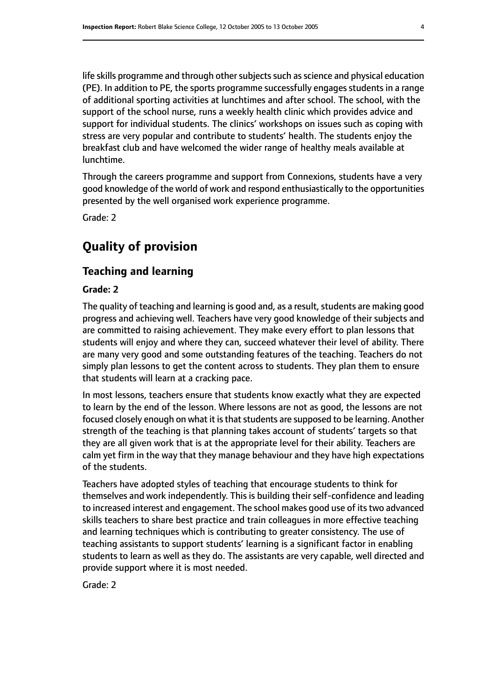life skills programme and through other subjects such as science and physical education (PE). In addition to PE, the sports programme successfully engages students in a range of additional sporting activities at lunchtimes and after school. The school, with the support of the school nurse, runs a weekly health clinic which provides advice and support for individual students. The clinics' workshops on issues such as coping with stress are very popular and contribute to students' health. The students enjoy the breakfast club and have welcomed the wider range of healthy meals available at lunchtime.

Through the careers programme and support from Connexions, students have a very good knowledge of the world of work and respond enthusiastically to the opportunities presented by the well organised work experience programme.

Grade: 2

# **Quality of provision**

## **Teaching and learning**

### **Grade: 2**

The quality of teaching and learning is good and, as a result, students are making good progress and achieving well. Teachers have very good knowledge of their subjects and are committed to raising achievement. They make every effort to plan lessons that students will enjoy and where they can, succeed whatever their level of ability. There are many very good and some outstanding features of the teaching. Teachers do not simply plan lessons to get the content across to students. They plan them to ensure that students will learn at a cracking pace.

In most lessons, teachers ensure that students know exactly what they are expected to learn by the end of the lesson. Where lessons are not as good, the lessons are not focused closely enough on what it is that students are supposed to be learning. Another strength of the teaching is that planning takes account of students' targets so that they are all given work that is at the appropriate level for their ability. Teachers are calm yet firm in the way that they manage behaviour and they have high expectations of the students.

Teachers have adopted styles of teaching that encourage students to think for themselves and work independently. This is building their self-confidence and leading to increased interest and engagement. The school makes good use of its two advanced skills teachers to share best practice and train colleagues in more effective teaching and learning techniques which is contributing to greater consistency. The use of teaching assistants to support students' learning is a significant factor in enabling students to learn as well as they do. The assistants are very capable, well directed and provide support where it is most needed.

Grade: 2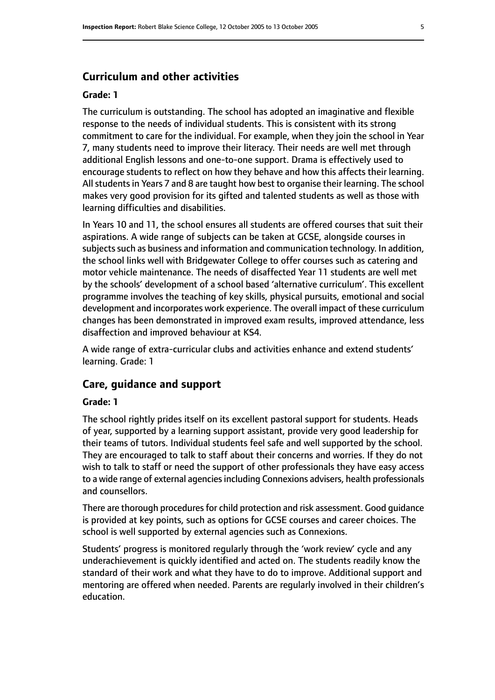# **Curriculum and other activities**

#### **Grade: 1**

The curriculum is outstanding. The school has adopted an imaginative and flexible response to the needs of individual students. This is consistent with its strong commitment to care for the individual. For example, when they join the school in Year 7, many students need to improve their literacy. Their needs are well met through additional English lessons and one-to-one support. Drama is effectively used to encourage students to reflect on how they behave and how this affects their learning. All students in Years 7 and 8 are taught how best to organise their learning. The school makes very good provision for its gifted and talented students as well as those with learning difficulties and disabilities.

In Years 10 and 11, the school ensures all students are offered courses that suit their aspirations. A wide range of subjects can be taken at GCSE, alongside courses in subjects such as business and information and communication technology. In addition, the school links well with Bridgewater College to offer courses such as catering and motor vehicle maintenance. The needs of disaffected Year 11 students are well met by the schools' development of a school based 'alternative curriculum'. This excellent programme involves the teaching of key skills, physical pursuits, emotional and social development and incorporates work experience. The overall impact of these curriculum changes has been demonstrated in improved exam results, improved attendance, less disaffection and improved behaviour at KS4.

A wide range of extra-curricular clubs and activities enhance and extend students' learning. Grade: 1

### **Care, guidance and support**

#### **Grade: 1**

The school rightly prides itself on its excellent pastoral support for students. Heads of year, supported by a learning support assistant, provide very good leadership for their teams of tutors. Individual students feel safe and well supported by the school. They are encouraged to talk to staff about their concerns and worries. If they do not wish to talk to staff or need the support of other professionals they have easy access to a wide range of external agencies including Connexions advisers, health professionals and counsellors.

There are thorough procedures for child protection and risk assessment. Good guidance is provided at key points, such as options for GCSE courses and career choices. The school is well supported by external agencies such as Connexions.

Students' progress is monitored regularly through the 'work review' cycle and any underachievement is quickly identified and acted on. The students readily know the standard of their work and what they have to do to improve. Additional support and mentoring are offered when needed. Parents are regularly involved in their children's education.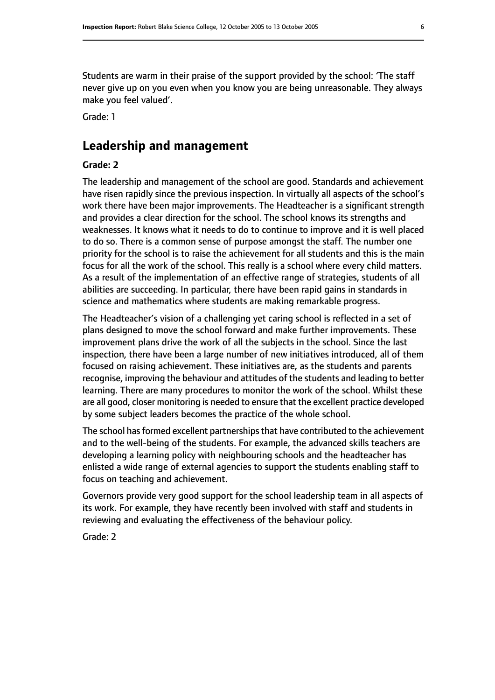Students are warm in their praise of the support provided by the school: 'The staff never give up on you even when you know you are being unreasonable. They always make you feel valued'.

Grade: 1

# **Leadership and management**

#### **Grade: 2**

The leadership and management of the school are good. Standards and achievement have risen rapidly since the previous inspection. In virtually all aspects of the school's work there have been major improvements. The Headteacher is a significant strength and provides a clear direction for the school. The school knows its strengths and weaknesses. It knows what it needs to do to continue to improve and it is well placed to do so. There is a common sense of purpose amongst the staff. The number one priority for the school is to raise the achievement for all students and this is the main focus for all the work of the school. This really is a school where every child matters. As a result of the implementation of an effective range of strategies, students of all abilities are succeeding. In particular, there have been rapid gains in standards in science and mathematics where students are making remarkable progress.

The Headteacher's vision of a challenging yet caring school is reflected in a set of plans designed to move the school forward and make further improvements. These improvement plans drive the work of all the subjects in the school. Since the last inspection, there have been a large number of new initiatives introduced, all of them focused on raising achievement. These initiatives are, as the students and parents recognise, improving the behaviour and attitudes of the students and leading to better learning. There are many procedures to monitor the work of the school. Whilst these are all good, closer monitoring is needed to ensure that the excellent practice developed by some subject leaders becomes the practice of the whole school.

The school has formed excellent partnerships that have contributed to the achievement and to the well-being of the students. For example, the advanced skills teachers are developing a learning policy with neighbouring schools and the headteacher has enlisted a wide range of external agencies to support the students enabling staff to focus on teaching and achievement.

Governors provide very good support for the school leadership team in all aspects of its work. For example, they have recently been involved with staff and students in reviewing and evaluating the effectiveness of the behaviour policy.

Grade: 2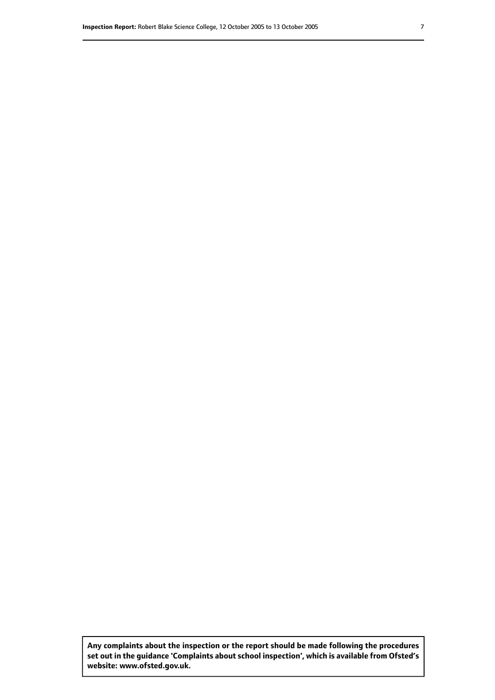**Any complaints about the inspection or the report should be made following the procedures set out inthe guidance 'Complaints about school inspection', whichis available from Ofsted's website: www.ofsted.gov.uk.**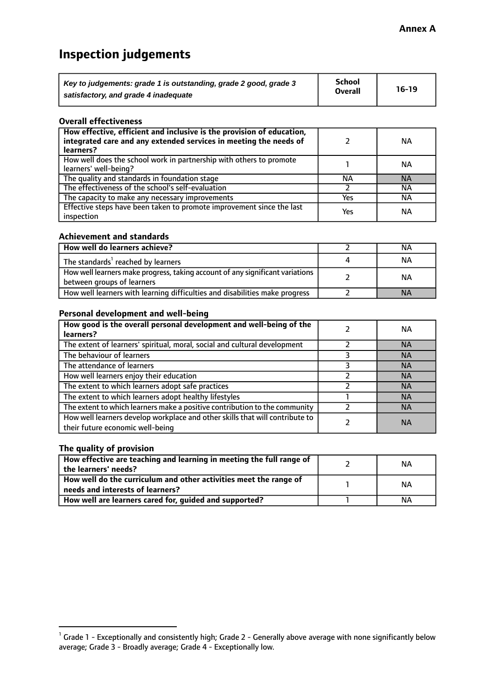# **Inspection judgements**

| Key to judgements: grade 1 is outstanding, grade 2 good, grade 3 | School         | $16-19$ |
|------------------------------------------------------------------|----------------|---------|
| satisfactory, and grade 4 inadequate                             | <b>Overall</b> |         |

#### **Overall effectiveness**

| How effective, efficient and inclusive is the provision of education,<br>integrated care and any extended services in meeting the needs of<br>learners? |     | NА        |
|---------------------------------------------------------------------------------------------------------------------------------------------------------|-----|-----------|
| How well does the school work in partnership with others to promote<br>learners' well-being?                                                            |     | NА        |
| The quality and standards in foundation stage                                                                                                           | NА  | <b>NA</b> |
| The effectiveness of the school's self-evaluation                                                                                                       |     | NА        |
| The capacity to make any necessary improvements                                                                                                         | Yes | NА        |
| Effective steps have been taken to promote improvement since the last<br>inspection                                                                     | Yes | <b>NA</b> |

#### **Achievement and standards**

| How well do learners achieve?                                                                               | NА        |
|-------------------------------------------------------------------------------------------------------------|-----------|
| The standards <sup>1</sup> reached by learners                                                              | NА        |
| How well learners make progress, taking account of any significant variations<br>between groups of learners | <b>NA</b> |
| How well learners with learning difficulties and disabilities make progress                                 | <b>NA</b> |

## **Personal development and well-being**

| How good is the overall personal development and well-being of the<br>learners?                                  | ΝA        |
|------------------------------------------------------------------------------------------------------------------|-----------|
| The extent of learners' spiritual, moral, social and cultural development                                        | <b>NA</b> |
| The behaviour of learners                                                                                        | <b>NA</b> |
| The attendance of learners                                                                                       | <b>NA</b> |
| How well learners enjoy their education                                                                          | <b>NA</b> |
| The extent to which learners adopt safe practices                                                                | <b>NA</b> |
| The extent to which learners adopt healthy lifestyles                                                            | <b>NA</b> |
| The extent to which learners make a positive contribution to the community                                       | <b>NA</b> |
| How well learners develop workplace and other skills that will contribute to<br>their future economic well-being | <b>NA</b> |

# **The quality of provision**

| How effective are teaching and learning in meeting the full range of<br>the learners' needs?          | ΝA |
|-------------------------------------------------------------------------------------------------------|----|
| How well do the curriculum and other activities meet the range of<br>needs and interests of learners? | ΝA |
| How well are learners cared for, guided and supported?                                                | NА |

 $^1$  Grade 1 - Exceptionally and consistently high; Grade 2 - Generally above average with none significantly below average; Grade 3 - Broadly average; Grade 4 - Exceptionally low.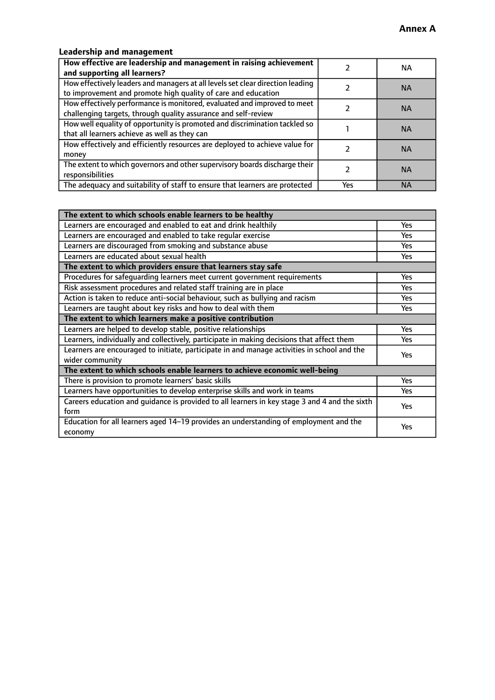# **Leadership and management**

| How effective are leadership and management in raising achievement<br>and supporting all learners?                                              |     | NA.       |
|-------------------------------------------------------------------------------------------------------------------------------------------------|-----|-----------|
| How effectively leaders and managers at all levels set clear direction leading<br>to improvement and promote high quality of care and education |     | <b>NA</b> |
| How effectively performance is monitored, evaluated and improved to meet<br>challenging targets, through quality assurance and self-review      |     | <b>NA</b> |
| How well equality of opportunity is promoted and discrimination tackled so<br>that all learners achieve as well as they can                     |     | <b>NA</b> |
| How effectively and efficiently resources are deployed to achieve value for<br>money                                                            |     | <b>NA</b> |
| The extent to which governors and other supervisory boards discharge their<br>responsibilities                                                  |     | <b>NA</b> |
| The adequacy and suitability of staff to ensure that learners are protected                                                                     | Yes | <b>NA</b> |

| The extent to which schools enable learners to be healthy                                     |            |  |
|-----------------------------------------------------------------------------------------------|------------|--|
| Learners are encouraged and enabled to eat and drink healthily                                | Yes        |  |
| Learners are encouraged and enabled to take regular exercise                                  | <b>Yes</b> |  |
| Learners are discouraged from smoking and substance abuse                                     | Yes        |  |
| Learners are educated about sexual health                                                     | Yes        |  |
| The extent to which providers ensure that learners stay safe                                  |            |  |
| Procedures for safequarding learners meet current government requirements                     | Yes        |  |
| Risk assessment procedures and related staff training are in place                            | Yes        |  |
| Action is taken to reduce anti-social behaviour, such as bullying and racism                  | <b>Yes</b> |  |
| Learners are taught about key risks and how to deal with them                                 | Yes        |  |
| The extent to which learners make a positive contribution                                     |            |  |
| Learners are helped to develop stable, positive relationships                                 | Yes        |  |
| Learners, individually and collectively, participate in making decisions that affect them     | Yes        |  |
| Learners are encouraged to initiate, participate in and manage activities in school and the   | <b>Yes</b> |  |
| wider community                                                                               |            |  |
| The extent to which schools enable learners to achieve economic well-being                    |            |  |
| There is provision to promote learners' basic skills                                          | Yes        |  |
| Learners have opportunities to develop enterprise skills and work in teams                    | Yes        |  |
| Careers education and quidance is provided to all learners in key stage 3 and 4 and the sixth | Yes        |  |
| form                                                                                          |            |  |
| Education for all learners aged 14-19 provides an understanding of employment and the         | <b>Yes</b> |  |
| economy                                                                                       |            |  |